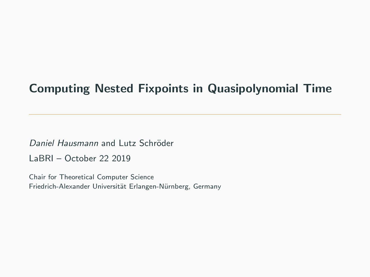# Computing Nested Fixpoints in Quasipolynomial Time

Daniel Hausmann and Lutz Schröder LaBRI – October 22 2019

Chair for Theoretical Computer Science Friedrich-Alexander Universität Erlangen-Nürnberg, Germany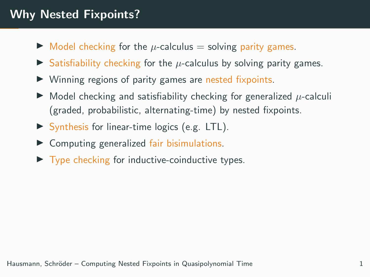# Why Nested Fixpoints?

- $\triangleright$  Model checking for the  $\mu$ -calculus = solving parity games.
- $\triangleright$  Satisfiability checking for the  $\mu$ -calculus by solving parity games.
- $\triangleright$  Winning regions of parity games are nested fixpoints.
- $\triangleright$  Model checking and satisfiability checking for generalized  $\mu$ -calculi (graded, probabilistic, alternating-time) by nested fixpoints.
- $\triangleright$  Synthesis for linear-time logics (e.g. LTL).
- $\triangleright$  Computing generalized fair bisimulations.
- $\triangleright$  Type checking for inductive-coinductive types.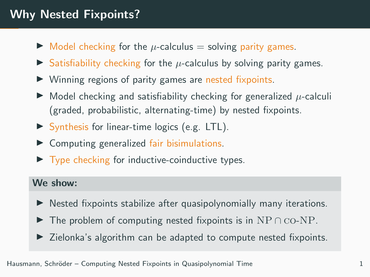# Why Nested Fixpoints?

- $\triangleright$  Model checking for the  $\mu$ -calculus = solving parity games.
- Satisfiability checking for the  $\mu$ -calculus by solving parity games.
- $\triangleright$  Winning regions of parity games are nested fixpoints.
- $\triangleright$  Model checking and satisfiability checking for generalized  $\mu$ -calculi (graded, probabilistic, alternating-time) by nested fixpoints.
- $\triangleright$  Synthesis for linear-time logics (e.g. LTL).
- $\triangleright$  Computing generalized fair bisimulations.
- $\triangleright$  Type checking for inductive-coinductive types.

### We show:

- $\blacktriangleright$  Nested fixpoints stabilize after quasipolynomially many iterations.
- $\triangleright$  The problem of computing nested fixpoints is in NP  $\cap$  co-NP.
- $\triangleright$  Zielonka's algorithm can be adapted to compute nested fixpoints.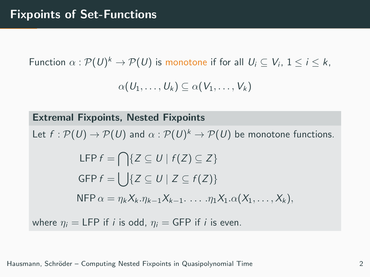Function  $\alpha: \mathcal{P}(U)^k \to \mathcal{P}(U)$  is monotone if for all  $\ U_i \subseteq V_i, \ 1 \leq i \leq k,$ 

$$
\alpha(U_1,\ldots,U_k)\subseteq \alpha(V_1,\ldots,V_k)
$$

### Extremal Fixpoints, Nested Fixpoints

Let  $f : \mathcal{P}(U) \to \mathcal{P}(U)$  and  $\alpha : \mathcal{P}(U)^k \to \mathcal{P}(U)$  be monotone functions.

$$
\begin{aligned}\n\text{LFP } f &= \bigcap \{ Z \subseteq U \mid f(Z) \subseteq Z \} \\
\text{GFP } f &= \bigcup \{ Z \subseteq U \mid Z \subseteq f(Z) \} \\
\text{NFP } \alpha &= \eta_k X_k . \eta_{k-1} X_{k-1} . \quad \dots . \eta_1 X_1 . \alpha(X_1, \dots, X_k),\n\end{aligned}
$$

where  $\eta_i = LFP$  if *i* is odd,  $\eta_i = GFP$  if *i* is even.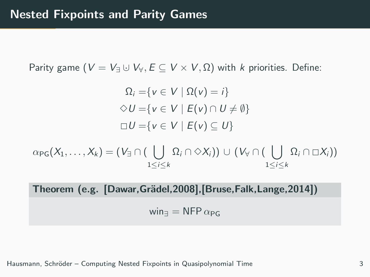Parity game ( $V = V_{\exists} \cup V_{\forall}, E \subseteq V \times V, \Omega$ ) with k priorities. Define:

$$
\Omega_i = \{ v \in V \mid \Omega(v) = i \}
$$
  
\n
$$
\diamond U = \{ v \in V \mid E(v) \cap U \neq \emptyset \}
$$
  
\n
$$
\square U = \{ v \in V \mid E(v) \subseteq U \}
$$

$$
\alpha_{\mathsf{PG}}(X_1,\ldots,X_k)=(V_{\exists}\cap(\bigcup_{1\leq i\leq k}\Omega_i\cap\diamond X_i))\,\cup\,(\,V_{\forall}\cap(\bigcup_{1\leq i\leq k}\Omega_i\cap\Box X_i))
$$

Theorem (e.g. [Dawar, Grädel, 2008], [Bruse, Falk, Lange, 2014])

win $=$  NFP  $\alpha_{PG}$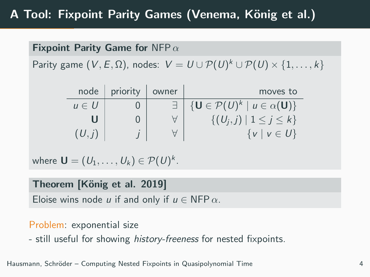Fixpoint Parity Game for NFP  $\alpha$ 

Parity game  $(V,E,\Omega)$ , nodes:  $V=U\cup {\mathcal P}(U)^k \cup {\mathcal P}(U)\times \{1,\ldots, k\}$ 

| node      | priority | owner     | moves to                                           |
|-----------|----------|-----------|----------------------------------------------------|
| $u \in U$ |          |           | $\{U \in \mathcal{P}(U)^k \mid u \in \alpha(U)\}\$ |
|           |          | $\forall$ | $\{(U_i,j)   1 \leq j \leq k\}$                    |
| (U, i)    |          |           | $\{v \mid v \in U\}$                               |

where  $\mathbf{U} = (\mathit{U}_1, \ldots, \mathit{U}_k) \in \mathcal{P(U)}^k$  .

## Theorem [König et al. 2019]

Eloise wins node u if and only if  $u \in$  NFP  $\alpha$ .

## Problem: exponential size

- still useful for showing *history-freeness* for nested fixpoints.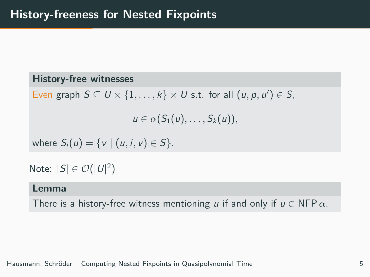### History-free witnesses

Even graph  $S \subseteq U \times \{1, ..., k\} \times U$  s.t. for all  $(u, p, u') \in S$ ,

 $u \in \alpha(S_1(u), \ldots, S_k(u)),$ 

where  $S_i(u) = \{v \mid (u, i, v) \in S\}.$ 

Note:  $|S| \in \mathcal{O}(|U|^2)$ 

#### Lemma

There is a history-free witness mentioning u if and only if  $u \in$  NFP  $\alpha$ .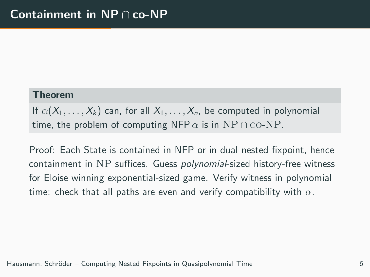#### Theorem

If  $\alpha(X_1,\ldots,X_k)$  can, for all  $X_1,\ldots,X_n$ , be computed in polynomial time, the problem of computing NFP  $\alpha$  is in NP  $\cap$  CO-NP.

Proof: Each State is contained in NFP or in dual nested fixpoint, hence containment in NP suffices. Guess polynomial-sized history-free witness for Eloise winning exponential-sized game. Verify witness in polynomial time: check that all paths are even and verify compatibility with  $\alpha$ .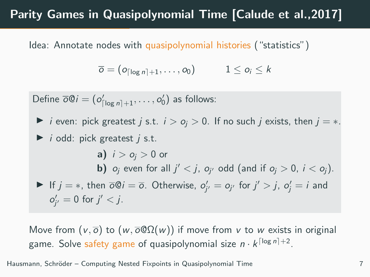# Parity Games in Quasipolynomial Time [Calude et al.,2017]

Idea: Annotate nodes with quasipolynomial histories ("statistics")

$$
\overline{o} = (o_{\lceil \log n \rceil + 1}, \ldots, o_0) \qquad \quad 1 \leq o_i \leq k
$$

Define  $\overline{o}\mathbb{Q}i = (o'_{\lceil \log n \rceil + 1}, \ldots, o'_{0})$  as follows:  $\triangleright$  *i* even: pick greatest *j* s.t. *i* >  $o_i$  > 0. If no such *j* exists, then *j* = \*.  $\triangleright$  *i* odd: pick greatest *i* s.t. a)  $i > o_i > 0$  or **b)**  $o_j$  even for all  $j' < j$ ,  $o_{j'}$  odd (and if  $o_j > 0$ ,  $i < o_j$ ). If  $j = *$ , then  $\overline{o}Qi = \overline{o}$ . Otherwise,  $o'_{j'} = o_{j'}$  for  $j' > j$ ,  $o'_{j} = i$  and  $o'_{j'} = 0$  for  $j' < j$ .

Move from  $(v, \overline{o})$  to  $(w, \overline{o} \mathbb{Q} \Omega(w))$  if move from v to w exists in original game. Solve safety game of quasipolynomial size  $n \cdot k^{\lceil \log n \rceil + 2}.$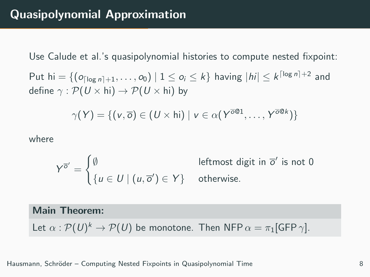Use Calude et al.'s quasipolynomial histories to compute nested fixpoint:

Put hi  $=\{(\textit{o}_{\lceil\log n\rceil+1}, \ldots, \textit{o}_0) \mid 1 \leq \textit{o}_i \leq k\}$  having  $\lvert hi\rvert \leq k^{\lceil\log n\rceil+2}$  and define  $\gamma : \mathcal{P}(U \times \text{hi}) \rightarrow \mathcal{P}(U \times \text{hi})$  by

$$
\gamma(Y) = \{ (v, \overline{o}) \in (U \times \text{hi}) \mid v \in \alpha(Y^{\overline{o}\mathbb{Q}1}, \dots, Y^{\overline{o}\mathbb{Q}k}) \}
$$

where

$$
Y^{\overline{o}'} = \begin{cases} \emptyset & \text{leftmost digit in } \overline{o}' \text{ is not 0} \\ \{u \in U \mid (u, \overline{o}') \in Y\} & \text{otherwise.} \end{cases}
$$

### Main Theorem:

Let  $\alpha: \mathcal{P}(U)^k \to \mathcal{P}(U)$  be monotone. Then NFP  $\alpha = \pi_1[\mathsf{GFP}\,\gamma].$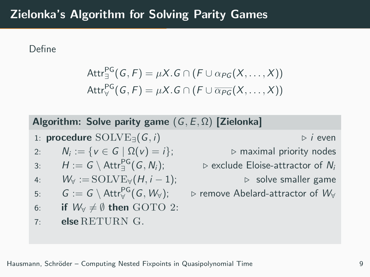# Zielonka's Algorithm for Solving Parity Games

Define

$$
Attr_{\exists}^{PG}(G, F) = \mu X.G \cap (F \cup \alpha_{PG}(X, ..., X))
$$
  
Attr<sub>Y</sub><sup>PG</sup>(G, F) =  $\mu X.G \cap (F \cup \overline{\alpha_{PG}}(X, ..., X))$ 

|  |  |  | Algorithm: Solve parity game $(G, E, \Omega)$ [Zielonka] |
|--|--|--|----------------------------------------------------------|
|--|--|--|----------------------------------------------------------|

1: **procedure**  $\text{SOLVE}_{\exists}(\mathcal{G}, i)$  . i even

2: 
$$
N_i := \{v \in G \mid \Omega(v) = i\};
$$

3: 
$$
H := G \setminus \text{Attr}_{\exists}^{\text{PG}}(G, N_i);
$$

4: 
$$
W_{\forall} := \text{SOLVE}_{\forall}(H, i-1);
$$

5: 
$$
G := G \setminus \text{Attr}_{\forall}^{\text{PG}}(G, W_{\forall});
$$

6: if 
$$
W_{\forall} \neq \emptyset
$$
 then GOTO 2:

7: else RETURN G.

 $▶$  maximal priority nodes

 $\triangleright$  exclude Eloise-attractor of  $N_i$ 

 $▶$  solve smaller game

 $\triangleright$  remove Abelard-attractor of  $W_{\forall}$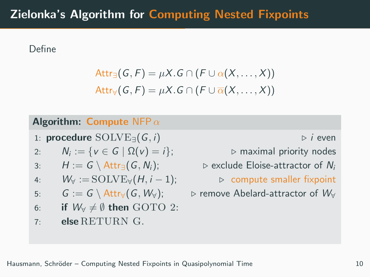# Zielonka's Algorithm for Computing Nested Fixpoints

Define

$$
\mathsf{Attr}_{\exists}(G, F) = \mu X. G \cap (F \cup \alpha(X, \dots, X))
$$
\n
$$
\mathsf{Attr}_{\forall}(G, F) = \mu X. G \cap (F \cup \overline{\alpha}(X, \dots, X))
$$

### Algorithm: Compute NFP  $\alpha$

1: **procedure**  $\text{SOLVE}_{\exists}(G, i)$  .  $\triangleright$  *i* even

2: 
$$
N_i := \{v \in G \mid \Omega(v) = i\};
$$

3: 
$$
H := G \setminus \text{Attr}_{\exists}(G, N_i);
$$

4: 
$$
W_{\forall} := \text{SOLVE}_{\forall}(H, i-1);
$$

5: 
$$
G := G \setminus \text{Attr}_{\forall}(G, W_{\forall});
$$

6: if 
$$
W_{\forall} \neq \emptyset
$$
 then GOTO 2:

## 7: else RETURN G.

 $▶$  maximal priority nodes

⊵ exclude Eloise-attractor of Ni

 $▶$  compute smaller fixpoint

 $\triangleright$  remove Abelard-attractor of  $W_{\forall}$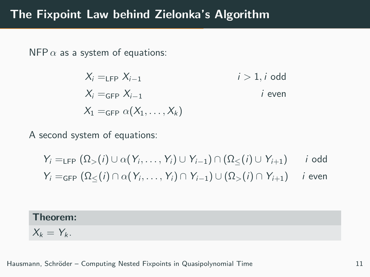NFP  $\alpha$  as a system of equations:

$$
X_i =_{\text{LFP}} X_{i-1} \qquad i > 1, i \text{ odd}
$$
\n
$$
X_i =_{\text{GFP}} X_{i-1} \qquad i \text{ even}
$$
\n
$$
X_1 =_{\text{GFP}} \alpha(X_1, \dots, X_k)
$$

A second system of equations:

$$
Y_i =_{\text{LFP}} (\Omega_{>}(i) \cup \alpha(Y_i, \dots, Y_i) \cup Y_{i-1}) \cap (\Omega_{\leq}(i) \cup Y_{i+1}) \quad i \text{ odd}
$$
  

$$
Y_i =_{\text{GFP}} (\Omega_{\leq}(i) \cap \alpha(Y_i, \dots, Y_i) \cap Y_{i-1}) \cup (\Omega_{>}(i) \cap Y_{i+1}) \quad i \text{ even}
$$

### Theorem:

 $X_k = Y_k$ .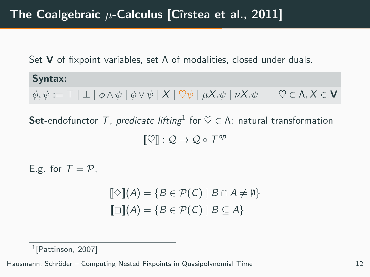Set **V** of fixpoint variables, set  $\Lambda$  of modalities, closed under duals.

Syntax:  $\phi, \psi := \top | \bot | \phi \wedge \psi | \phi \vee \psi | X | \nabla \psi | \mu X. \psi | \nu X. \psi \quad \nabla \in \Lambda, X \in \mathbf{V}$ 

**Set**-endofunctor  $\mathcal{T}$ , predicate lifting  $\mathcal{A} \in \mathcal{A}$ : natural transformation  $[\![ \heartsuit ]\!] : \mathcal{Q} \to \mathcal{Q} \circ \mathcal{T}^{op}$ 

E.g. for  $T = P$ .

 $[\![\diamondsuit]\!](A) = \{B \in \mathcal{P}(C) \mid B \cap A \neq \emptyset\}$  $\llbracket \Box \rrbracket(A) = \{ B \in \mathcal{P}(\mathcal{C}) \mid B \subseteq A \}$ 

1 [Pattinson, 2007]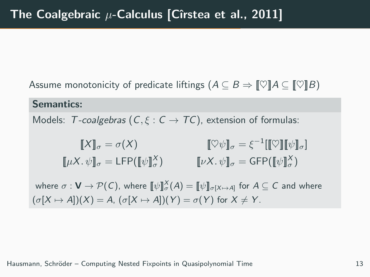Assume monotonicity of predicate liftings  $(A \subseteq B \Rightarrow \llbracket \heartsuit \rrbracket A \subseteq \llbracket \heartsuit \rrbracket B)$ 

### Semantics:

Models: T-coalgebras  $(C, \xi : C \rightarrow TC)$ , extension of formulas:

$$
\llbracket X \rrbracket_{\sigma} = \sigma(X) \qquad \qquad \llbracket \heartsuit \psi \rrbracket_{\sigma} = \xi^{-1} [\llbracket \heartsuit \rrbracket [\psi]_{\sigma}]
$$

$$
\llbracket \mu X. \psi \rrbracket_{\sigma} = \text{LFP}([\llbracket \psi \rrbracket_{\sigma}^X) \qquad \qquad \llbracket \nu X. \psi \rrbracket_{\sigma} = \text{GFP}([\llbracket \psi \rrbracket_{\sigma}^X)
$$

where  $\sigma: \mathsf{V} \to \mathcal{P}(\mathsf{C}),$  where  $\llbracket \psi \rrbracket_{\sigma}^{\chi}(A) = \llbracket \psi \rrbracket_{\sigma[X \mapsto A]}$  for  $A \subseteq \mathsf{C}$  and where  $(\sigma[X \mapsto A])(X) = A$ ,  $(\sigma[X \mapsto A])(Y) = \sigma(Y)$  for  $X \neq Y$ .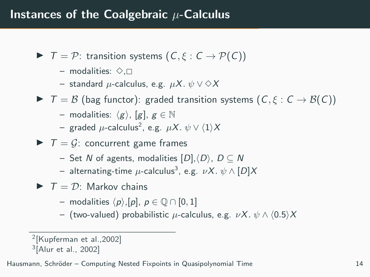- $\blacktriangleright$   $\top = \mathcal{P}$ : transition systems  $(C, \xi : C \rightarrow \mathcal{P}(C))$ 
	- modalities:  $\diamond$ . $\Box$
	- standard  $\mu$ -calculus, e.g.  $\mu X. \psi \vee \Diamond X$
- $\blacktriangleright$   $\top = \mathcal{B}$  (bag functor): graded transition systems  $(C, \xi : C \rightarrow \mathcal{B}(C))$ 
	- modalities:  $\langle g \rangle$ , [g],  $g \in \mathbb{N}$
	- $-$  graded  $\mu$ -calculus $^2$ , e.g.  $\mu X.\; \psi \vee \langle 1 \rangle X$
- $\blacktriangleright$   $\top = \mathcal{G}$ : concurrent game frames
	- Set N of agents, modalities  $[D], \langle D \rangle$ ,  $D \subseteq N$
	- $-$  alternating-time  $\mu$ -calculus $^3$ , e.g.  $\nu X.\; \psi\wedge [D]X$
- $\blacktriangleright$   $\top = \mathcal{D}$ : Markov chains
	- modalities  $\langle p \rangle$ ,[p],  $p \in \mathbb{O} \cap [0, 1]$
	- (two-valued) probabilistic  $\mu$ -calculus, e.g.  $\nu X. \psi \wedge (0.5)X$

<sup>2</sup> [Kupferman et al.,2002]

<sup>3</sup> [Alur et al., 2002]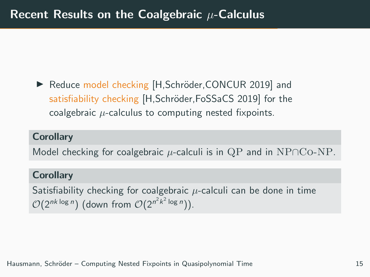▶ Reduce model checking [H,Schröder,CONCUR 2019] and satisfiability checking [H,Schröder,FoSSaCS 2019] for the coalgebraic  $\mu$ -calculus to computing nested fixpoints.

## **Corollary**

Model checking for coalgebraic  $\mu$ -calculi is in QP and in NP∩Co-NP.

### **Corollary**

Satisfiability checking for coalgebraic  $\mu$ -calculi can be done in time  $\mathcal{O}(2^{nk \log n})$  (down from  $\mathcal{O}(2^{n^2 k^2 \log n})$ ).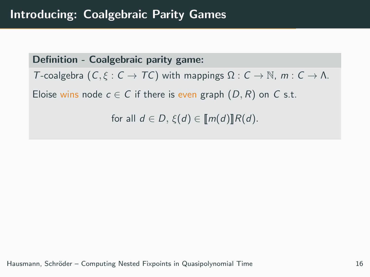Definition - Coalgebraic parity game: T-coalgebra  $(C, \xi : C \to TC)$  with mappings  $\Omega : C \to \mathbb{N}$ ,  $m : C \to \Lambda$ . Eloise wins node  $c \in C$  if there is even graph  $(D, R)$  on C s.t. for all  $d \in D$ ,  $\xi(d) \in [m(d)]R(d)$ .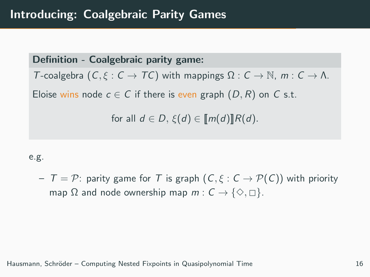Definition - Coalgebraic parity game: T-coalgebra  $(C, \xi : C \to TC)$  with mappings  $\Omega : C \to \mathbb{N}$ ,  $m : C \to \Lambda$ . Eloise wins node  $c \in C$  if there is even graph  $(D, R)$  on C s.t. for all  $d \in D$ ,  $\xi(d) \in [m(d)]R(d)$ .

#### e.g.

 $T = \mathcal{P}$ : parity game for T is graph  $(C, \xi : C \rightarrow \mathcal{P}(C))$  with priority map  $\Omega$  and node ownership map  $m: \mathcal{C} \to \{\diamondsuit, \square\}.$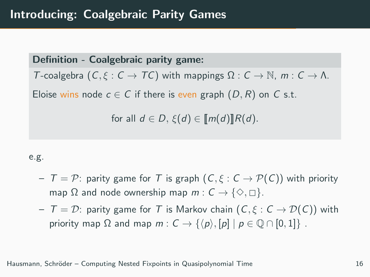Definition - Coalgebraic parity game: T-coalgebra  $(C, \xi : C \to TC)$  with mappings  $\Omega : C \to \mathbb{N}$ ,  $m : C \to \Lambda$ . Eloise wins node  $c \in C$  if there is even graph  $(D, R)$  on C s.t. for all  $d \in D$ ,  $\xi(d) \in [m(d)]R(d)$ .

#### e.g.

- $T = \mathcal{P}$ : parity game for T is graph  $(C, \xi : C \rightarrow \mathcal{P}(C))$  with priority map  $\Omega$  and node ownership map  $m: \mathcal{C} \to \{\diamondsuit, \square\}.$
- $T = D$ : parity game for T is Markov chain  $(C, \xi : C \rightarrow \mathcal{D}(C))$  with priority map  $\Omega$  and map  $m: C \rightarrow \{\langle p \rangle, [p] \mid p \in \mathbb{Q} \cap [0,1]\}$ .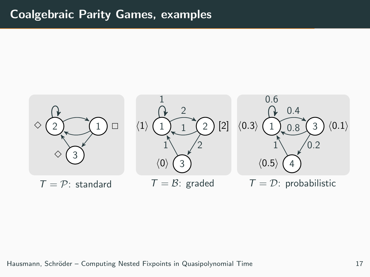# Coalgebraic Parity Games, examples

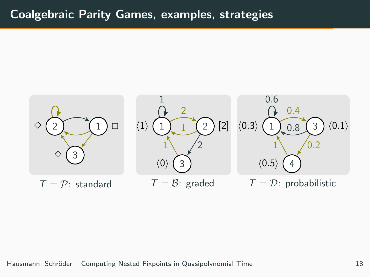# Coalgebraic Parity Games, examples, strategies

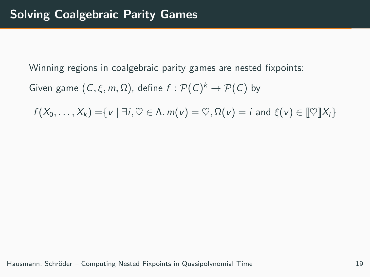Winning regions in coalgebraic parity games are nested fixpoints:

Given game  $(C,\xi,m,\Omega)$ , define  $f:\mathcal P(\mathcal C)^k \to \mathcal P(\mathcal C)$  by

$$
f(X_0,\ldots,X_k) = \{v \mid \exists i, \heartsuit \in \Lambda. \ m(v) = \heartsuit, \Omega(v) = i \ \text{and} \ \xi(v) \in [\![\heartsuit]\!] X_i\}
$$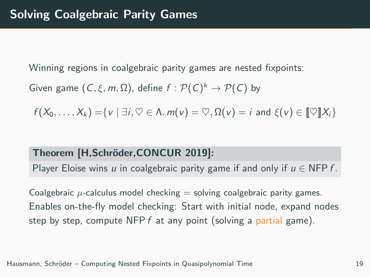Winning regions in coalgebraic parity games are nested fixpoints:

Given game  $(C,\xi,m,\Omega)$ , define  $f:\mathcal P(\mathcal C)^k \to \mathcal P(\mathcal C)$  by

$$
f(X_0,\ldots,X_k) = \{v \mid \exists i, \heartsuit \in \Lambda. \ m(v) = \heartsuit, \Omega(v) = i \ \text{and} \ \xi(v) \in [\![\heartsuit]\!] X_i\}
$$

### Theorem [H,Schröder,CONCUR 2019]:

Player Eloise wins u in coalgebraic parity game if and only if  $u \in$  NFP f.

Coalgebraic  $\mu$ -calculus model checking  $=$  solving coalgebraic parity games. Enables on-the-fly model checking: Start with initial node, expand nodes step by step, compute NFP  $f$  at any point (solving a partial game).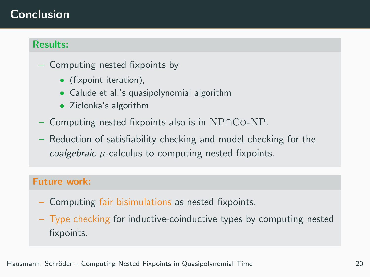# Conclusion

### Results:

- Computing nested fixpoints by
	- (fixpoint iteration),
	- Calude et al.'s quasipolynomial algorithm
	- Zielonka's algorithm
- Computing nested fixpoints also is in  $NPOCo-NP$ .
- Reduction of satisfiability checking and model checking for the  $coalgebraic$   $\mu$ -calculus to computing nested fixpoints.

### Future work:

- Computing fair bisimulations as nested fixpoints.
- Type checking for inductive-coinductive types by computing nested fixpoints.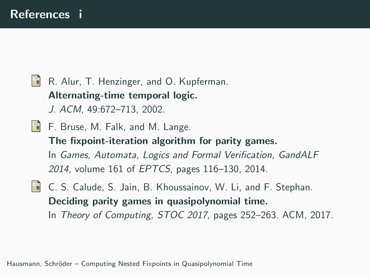# 品 R. Alur, T. Henzinger, and O. Kupferman. Alternating-time temporal logic. J. ACM, 49:672–713, 2002. F. Bruse, M. Falk, and M. Lange. The fixpoint-iteration algorithm for parity games. In Games, Automata, Logics and Formal Verification, GandALF 2014, volume 161 of EPTCS, pages 116–130, 2014.

**C. S. Calude, S. Jain, B. Khoussainov, W. Li, and F. Stephan.** Deciding parity games in quasipolynomial time. In Theory of Computing, STOC 2017, pages 252–263. ACM, 2017.